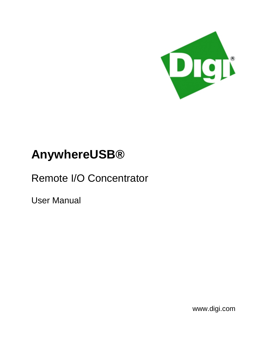

# **AnywhereUSB®**

# Remote I/O Concentrator

User Manual

www.digi.com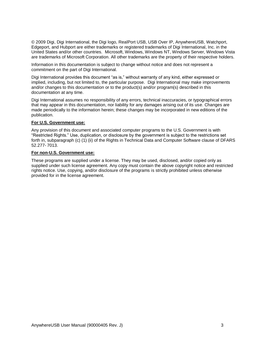© 2009 Digi, Digi International, the Digi logo, RealPort USB, USB Over IP, AnywhereUSB, Watchport, Edgeport, and Hubport are either trademarks or registered trademarks of Digi International, Inc. in the United States and/or other countries. Microsoft, Windows, Windows NT, Windows Server, Windows Vista are trademarks of Microsoft Corporation. All other trademarks are the property of their respective holders.

Information in this documentation is subject to change without notice and does not represent a commitment on the part of Digi International.

Digi International provides this document "as is," without warranty of any kind, either expressed or implied, including, but not limited to, the particular purpose. Digi International may make improvements and/or changes to this documentation or to the product(s) and/or program(s) described in this documentation at any time.

Digi International assumes no responsibility of any errors, technical inaccuracies, or typographical errors that may appear in this documentation, nor liability for any damages arising out of its use. Changes are made periodically to the information herein; these changes may be incorporated in new editions of the publication.

#### **For U.S. Government use:**

Any provision of this document and associated computer programs to the U.S. Government is with ―Restricted Rights.‖ Use, duplication, or disclosure by the government is subject to the restrictions set forth in, subparagraph (c) (1) (ii) of the Rights in Technical Data and Computer Software clause of DFARS 52.277-7013.

#### **For non-U.S. Government use:**

These programs are supplied under a license. They may be used, disclosed, and/or copied only as supplied under such license agreement. Any copy must contain the above copyright notice and restricted rights notice. Use, copying, and/or disclosure of the programs is strictly prohibited unless otherwise provided for in the license agreement.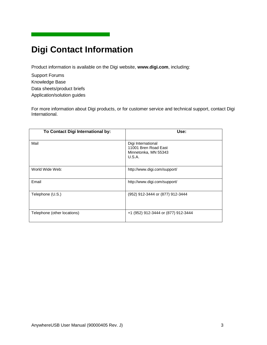# **Digi Contact Information**

Product information is available on the Digi website, **www.digi.com**, including:

Support Forums Knowledge Base Data sheets/product briefs Application/solution guides

For more information about Digi products, or for customer service and technical support, contact Digi International.

| To Contact Digi International by: | Use:                                                                         |
|-----------------------------------|------------------------------------------------------------------------------|
| Mail                              | Digi International<br>11001 Bren Road East<br>Minnetonka, MN 55343<br>U.S.A. |
| World Wide Web:                   | http://www.digi.com/support/                                                 |
| Email                             | http://www.digi.com/support/                                                 |
| Telephone (U.S.)                  | (952) 912-3444 or (877) 912-3444                                             |
| Telephone (other locations)       | +1 (952) 912-3444 or (877) 912-3444                                          |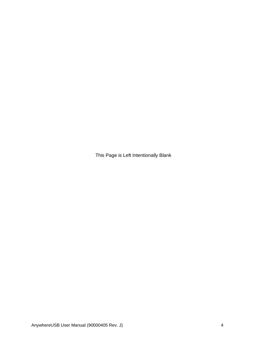This Page is Left Intentionally Blank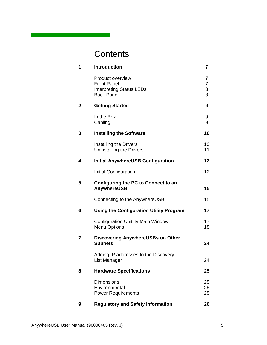# **Contents**

| 1 | <b>Introduction</b>                                                                            | 7                             |
|---|------------------------------------------------------------------------------------------------|-------------------------------|
|   | Product overview<br><b>Front Panel</b><br><b>Interpreting Status LEDs</b><br><b>Back Panel</b> | 7<br>$\overline{7}$<br>8<br>8 |
| 2 | <b>Getting Started</b>                                                                         | 9                             |
|   | In the Box<br>Cabling                                                                          | 9<br>9                        |
| 3 | <b>Installing the Software</b>                                                                 | 10                            |
|   | Installing the Drivers<br><b>Uninstalling the Drivers</b>                                      | 10<br>11                      |
| 4 | <b>Initial AnywhereUSB Configuration</b>                                                       | 12                            |
|   | Initial Configuration                                                                          | 12                            |
| 5 | Configuring the PC to Connect to an<br>AnywhereUSB                                             | 15                            |
|   | Connecting to the AnywhereUSB                                                                  | 15                            |
| 6 | <b>Using the Configuration Utility Program</b>                                                 | 17                            |
|   | <b>Configuration Unitlity Main Window</b><br><b>Menu Options</b>                               | 17<br>18                      |
| 7 | <b>Discovering AnywhereUSBs on Other</b><br><b>Subnets</b>                                     | 24                            |
|   | Adding IP addresses to the Discovery<br>List Manager                                           | 24                            |
| 8 | <b>Hardware Specifications</b>                                                                 | 25                            |
|   | <b>Dimensions</b><br>Environmental<br><b>Power Requirements</b>                                | 25<br>25<br>25                |
| 9 | <b>Regulatory and Safety Information</b>                                                       | 26                            |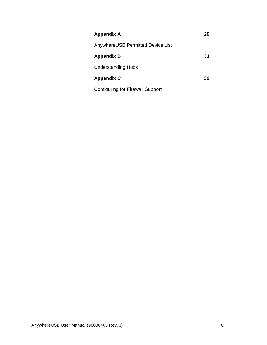| <b>Appendix A</b>                       | 29 |
|-----------------------------------------|----|
| AnywhereUSB Permitted Device List       |    |
| <b>Appendix B</b>                       | 31 |
| <b>Understanding Hubs</b>               |    |
| <b>Appendix C</b>                       | 32 |
| <b>Configuring for Firewall Support</b> |    |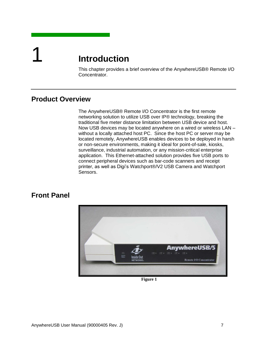# 1 **Introduction**

This chapter provides a brief overview of the AnywhereUSB® Remote I/O Concentrator.

## **Product Overview**

The AnywhereUSB® Remote I/O Concentrator is the first remote networking solution to utilize USB over IP® technology, breaking the traditional five meter distance limitation between USB device and host. Now USB devices may be located anywhere on a wired or wireless LAN – without a locally attached host PC. Since the host PC or server may be located remotely, AnywhereUSB enables devices to be deployed in harsh or non-secure environments, making it ideal for point-of-sale, kiosks, surveillance, industrial automation, or any mission-critical enterprise application. This Ethernet-attached solution provides five USB ports to connect peripheral devices such as bar-code scanners and receipt printer, as well as Digi's Watchport®/V2 USB Camera and Watchport Sensors.

## **Front Panel**



**Figure 1**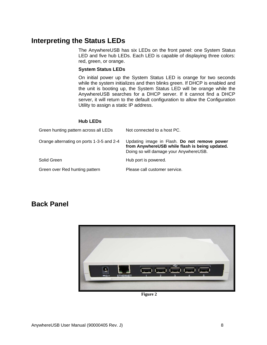# **Interpreting the Status LEDs**

The AnywhereUSB has six LEDs on the front panel: one System Status LED and five hub LEDs. Each LED is capable of displaying three colors: red, green, or orange.

#### **System Status LEDs**

On initial power up the System Status LED is orange for two seconds while the system initializes and then blinks green. If DHCP is enabled and the unit is booting up, the System Status LED will be orange while the AnywhereUSB searches for a DHCP server. If it cannot find a DHCP server, it will return to the default configuration to allow the Configuration Utility to assign a static IP address.

#### **Hub LEDs**

| Green hunting pattern across all LEDs     | Not connected to a host PC.                                                                                                              |
|-------------------------------------------|------------------------------------------------------------------------------------------------------------------------------------------|
| Orange alternating on ports 1-3-5 and 2-4 | Updating image in Flash. Do not remove power<br>from AnywhereUSB while flash is being updated.<br>Doing so will damage your AnywhereUSB. |
| Solid Green                               | Hub port is powered.                                                                                                                     |
| Green over Red hunting pattern            | Please call customer service.                                                                                                            |

# **Back Panel**



**Figure 2**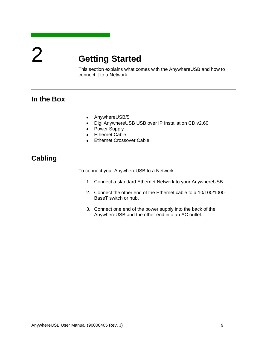# 2 **Getting Started**

This section explains what comes with the AnywhereUSB and how to connect it to a Network.

# **In the Box**

- AnywhereUSB/5
- Digi AnywhereUSB USB over IP Installation CD v2.60
- Power Supply
- **•** Ethernet Cable
- Ethernet Crossover Cable

# **Cabling**

To connect your AnywhereUSB to a Network:

- 1. Connect a standard Ethernet Network to your AnywhereUSB.
- 2. Connect the other end of the Ethernet cable to a 10/100/1000 BaseT switch or hub.
- 3. Connect one end of the power supply into the back of the AnywhereUSB and the other end into an AC outlet.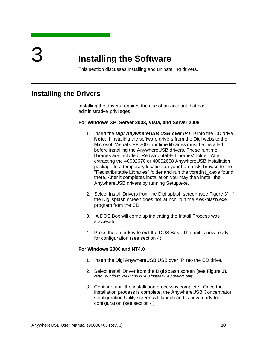# **Installing the Software**

This section discusses installing and uninstalling drivers.

## **Installing the Drivers**

Installing the drivers requires the use of an account that has administrative privileges.

#### **For Windows XP, Server 2003, Vista, and Server 2008**

- 1. Insert the *Digi AnywhereUSB USB over IP* CD into the CD drive. **Note**: If installing the software drivers from the Digi website the Microsoft Visual C++ 2005 runtime libraries must be installed before installing the AnywhereUSB drivers. These runtime libraries are included "Redistributable Libraries" folder. After extracting the 40002670 or 40002668 AnywhereUSB installation package to a temporary location on your hard disk, browse to the "Redistributable Libraries" folder and run the vcredist\_x.exe found there. After it completes installation you may then install the AnywhereUSB drivers by running Setup.exe.
- 2. Select Install Drivers from the Digi splash screen (see Figure 3). If the Digi splash screen does not launch, run the AWSplash.exe program from the CD.
- 3. A DOS Box will come up indicating the Install Process was successful.
- 4. Press the enter key to exit the DOS Box. The unit is now ready for configuration (see section 4).

#### **For Windows 2000 and NT4.0**

- 1. Insert the Digi AnywhereUSB USB over IP into the CD drive.
- 2. Select Install Driver from the Digi splash screen (see Figure 3). *Note: Windows 2000 and NT4.0 install v2.40 drivers only.*
- 3. Continue until the installation process is complete. Once the installation process is complete, the AnywhereUSB Concentrator Configuration Utility screen will launch and is now ready for configuration (see section 4).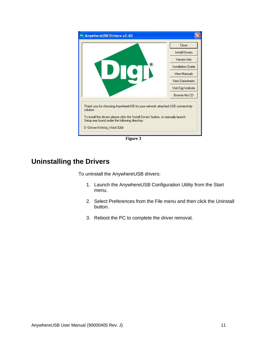| <b>AnywhereUSB Drivers v2.60</b><br>Digi                                                                                                                                                                                                                              |                        |  |
|-----------------------------------------------------------------------------------------------------------------------------------------------------------------------------------------------------------------------------------------------------------------------|------------------------|--|
|                                                                                                                                                                                                                                                                       | Close                  |  |
|                                                                                                                                                                                                                                                                       | <b>Install Drivers</b> |  |
|                                                                                                                                                                                                                                                                       | Version Info           |  |
| R)                                                                                                                                                                                                                                                                    | Installation Guide     |  |
|                                                                                                                                                                                                                                                                       | View Manuals           |  |
|                                                                                                                                                                                                                                                                       | View Datasheets        |  |
|                                                                                                                                                                                                                                                                       | Visit Digi Website     |  |
|                                                                                                                                                                                                                                                                       | Browse this CD         |  |
| Thank you for choosing AnywhereUSB for your network attached USB connectivity.<br>solution.<br>To install the drivers please click the 'Install Drivers' button, or manually launch<br>Setuplexe found under the following directory:<br>D:\Drivers\WinXp_Vista\32bit |                        |  |

**Figure 3**

# **Uninstalling the Drivers**

To uninstall the AnywhereUSB drivers:

- 1. Launch the AnywhereUSB Configuration Utility from the Start menu.
- 2. Select Preferences from the File menu and then click the Uninstall button.
- 3. Reboot the PC to complete the driver removal.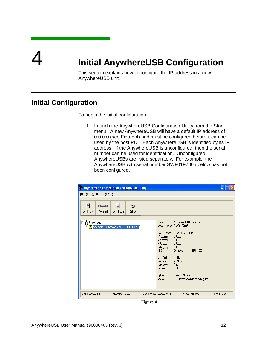# 4 **Initial AnywhereUSB Configuration**

This section explains how to configure the IP address in a new AnywhereUSB unit.

# **Initial Configuration**

To begin the initial configuration:

1. Launch the AnywhereUSB Configuration Utility from the Start menu. A new AnywhereUSB will have a default IP address of 0.0.0.0 (see Figure 4) and must be configured before it can be used by the host PC. Each AnywhereUSB is identified by its IP address. If the AnywhereUSB is unconfigured, then the serial number can be used for identification. Unconfigured AnywhereUSBs are listed separately. For example, the AnywhereUSB with serial number SW901F7005 below has not been configured.

| AnywhereUSB Concentrator Configuration Utility                                   |                                                                                                                                                                                                                                                                                                                                                                                                                            |                 |
|----------------------------------------------------------------------------------|----------------------------------------------------------------------------------------------------------------------------------------------------------------------------------------------------------------------------------------------------------------------------------------------------------------------------------------------------------------------------------------------------------------------------|-----------------|
| Eile<br>Edit Command View Help                                                   |                                                                                                                                                                                                                                                                                                                                                                                                                            |                 |
| é<br>E<br>€<br><b>GUILD STATE</b><br>Event Log<br>Configure<br>Reboot<br>Connect |                                                                                                                                                                                                                                                                                                                                                                                                                            |                 |
| ⊟ eee Unconfigured<br>AnywhereUSB Concentrator [192.168.254.222]                 | AnywhereUSB Concentrator<br>Name:<br>Serial Number:<br>SW901F7005<br>MAC Address:<br>00-20-BE-7F-70-05<br>IP Address:<br>0.0.0.0<br>0.0.0.0<br> Subnet Mask: -<br>0.0.0.0<br>Gateway:<br>0.0.0.0<br>Debug Log:<br>DHCP:<br>Disabled<br>MTU: 1500<br>v1.5.2<br>Boot Code:<br>v1.90.5<br>Firmware:<br>0x6<br>Hardware:<br>0x0001<br>Device ID:<br>Uptime:<br>2 mins: 24 secs<br>Status:<br>IP Address needs to be configured |                 |
| <b>Total Discovered: 1</b><br>Connected To Me: 0                                 | Available For Connection: 0<br>In Use By Others: 0                                                                                                                                                                                                                                                                                                                                                                         | Unconfigured: 1 |

**Figure 4**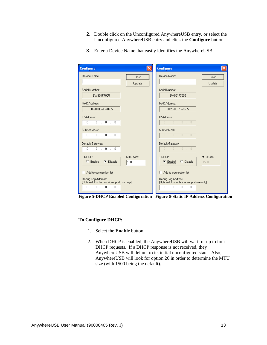- 2. Double click on the Unconfigured AnywhereUSB entry, or select the Unconfigured AnywhereUSB entry and click the **Configure** button.
- 3. Enter a Device Name that easily identifies the AnywhereUSB.

| <b>Configure</b>                            | <b>Configure</b>                            |
|---------------------------------------------|---------------------------------------------|
| Device Name:                                | Device Name:                                |
| Close                                       | Close                                       |
| Update                                      | Update                                      |
| Serial Number:                              | Serial Number:                              |
| SW901F7005                                  | SW901F7005                                  |
| MAC Address:                                | MAC Address:                                |
| 00-20-BE-7F-70-05                           | 00-20-BE-7F-70-05                           |
| IP Address:                                 | IP Address:                                 |
| 0, 0, 0, 0                                  |                                             |
| Subnet Mask:                                | Subnet Mask:                                |
| $0 \t . \t 0 \t . \t 0 \t . \t 0$           |                                             |
| Default Gateway:                            | Default Gateway:                            |
| 0, 0, 0, 0                                  |                                             |
| DHCP:                                       | D HCP:                                      |
| MTU Size:                                   | MTU Size:                                   |
| C Enable C Disable                          | C Enable C Disable                          |
| 1500                                        | 1500                                        |
| Add to connection list                      | Add to connection list                      |
| Debug Log Address:                          | Debug Log Address:                          |
| (Optional, For technical support use only). | (Optional, For technical support use only). |
| 0, 0, 0, 0                                  | 0.0.0000                                    |

**Figure 5-DHCP Enabled Configuration Figure 6-Static IP Address Configuration**

#### **To Configure DHCP:**

- 1. Select the **Enable** button
- 2. When DHCP is enabled, the AnywhereUSB will wait for up to four DHCP requests. If a DHCP response is not received, they AnywhereUSB will default to its initial unconfigured state. Also, AnywhereUSB will look for option 26 in order to determine the MTU size (with 1500 being the default).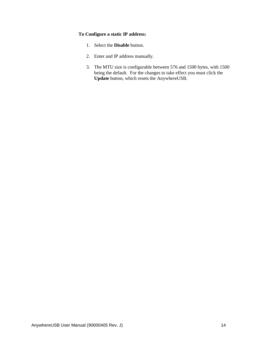### **To Configure a static IP address:**

- 1. Select the **Disable** button.
- 2. Enter and IP address manually.
- 3. The MTU size is configurable between 576 and 1500 bytes, with 1500 being the default. For the changes to take effect you must click the **Update** button, which resets the AnywhereUSB.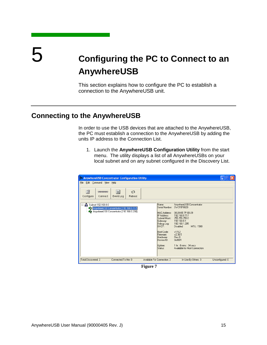# 5 **Configuring the PC to Connect to an AnywhereUSB**

This section explains how to configure the PC to establish a connection to the AnywhereUSB unit.

# **Connecting to the AnywhereUSB**

In order to use the USB devices that are attached to the AnywhereUSB, the PC must establish a connection to the AnywhereUSB by adding the units IP address to the Connection List.

1. Launch the **AnywhereUSB Configuration Utility** from the start menu. The utility displays a list of all AnywhereUSBs on your local subnet and on any subnet configured in the Discovery List.

| AnywhereUSB Concentrator Configuration Utility                                                                       |                                                                                                                                                                                                                |                                                                                                                                                                                                                                                                             |                 |
|----------------------------------------------------------------------------------------------------------------------|----------------------------------------------------------------------------------------------------------------------------------------------------------------------------------------------------------------|-----------------------------------------------------------------------------------------------------------------------------------------------------------------------------------------------------------------------------------------------------------------------------|-----------------|
| Edit Command View Help<br>File                                                                                       |                                                                                                                                                                                                                |                                                                                                                                                                                                                                                                             |                 |
| 窅<br>Ħ<br>$\mathbf{t}$<br><b>REAGE</b><br>Configure<br>Event Log<br>Reboot<br>Connect                                |                                                                                                                                                                                                                |                                                                                                                                                                                                                                                                             |                 |
| · 28 Subnet 192.168.0.0<br>⊟<br>AnywhereUSB Concentrator [192.168.0.117]<br>AnywhereUSB Concentrator [192.168.0.200] | Name:<br>Serial Number:<br>MAC Address:<br>IP Address:<br> Subnet Mask: -<br>Gateway:<br>Debug Log:<br>DHCP:<br>Boot Code:<br>Firmware:<br>Hardware:<br>$D$ evice I $D$ : $\blacksquare$<br>Uptime:<br>Status: | AnywhereUSB Concentrator<br>SW315F0029<br>00-20-BE-7F-00-29<br>192.168.0.117<br>255.255.255.0<br>192.168.0.1<br>192.168.1.205<br><b>Disabled</b><br>MTU: 1500<br>v1.5.2<br>v2.30.5<br>Rev B<br>0x0001<br>$1 \text{ hr}$ : 6 mins : 34 secs<br>Available for Host Connection |                 |
| Total Discovered: 2<br>Connected To Me: 0                                                                            | Available For Connection: 2                                                                                                                                                                                    | In Use By Others: 0                                                                                                                                                                                                                                                         | Unconfigured: 0 |

**Figure 7**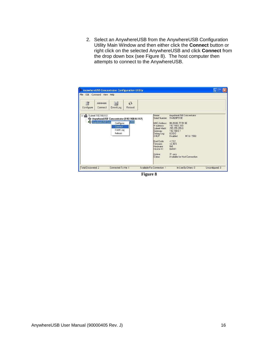2. Select an AnywhereUSB from the AnywhereUSB Configuration Utility Main Window and then either click the **Connect** button or right click on the selected AnywhereUSB and click **Connect** from the drop down box (see Figure 8). The host computer then attempts to connect to the AnywhereUSB.

| AnywhereUSB Concentrator Configuration Utility<br>Edit Command View Help<br>File                                                                |                                                                                                                                                                                       |                                                                                                                                                                                                                                                  |                 |
|-------------------------------------------------------------------------------------------------------------------------------------------------|---------------------------------------------------------------------------------------------------------------------------------------------------------------------------------------|--------------------------------------------------------------------------------------------------------------------------------------------------------------------------------------------------------------------------------------------------|-----------------|
| 會<br>E<br>$\mathbf{r}$<br>(3) 33 43 43 45 46<br>Configure<br>Event Log<br>Reboot<br>Connect                                                     |                                                                                                                                                                                       |                                                                                                                                                                                                                                                  |                 |
| ⊟ ele Subnet 192.168.0.0<br>AnywhereUSB Concentrator [192.168.0.117]<br>AnywhereUSB Cond<br>200]<br>Configure<br>Connect<br>Event Log<br>Reboot | Name:<br>Serial Number:<br>MAC Address:<br>IP Address:<br>Subnet Mask:<br>Gateway:<br>Debug Log:<br>DHCP:<br>Boot Code:<br>Firmware:<br>Hardware:<br>Device ID:<br>Uptime:<br>Status: | AnywhereUSB Concentrator<br>SW820F519E<br>00-20-RE-7F-51-9F<br>192,168,0,200<br>255.255.255.0<br>192.168.0.1<br>0.0.0.0<br><b>Disabled</b><br>MTLI 1500<br>v1.5.2<br>v2.30.5<br>0x6<br><b>0x0001</b><br>31 secs<br>Available for Host Connection |                 |
| <b>Total Discovered: 2</b><br>Connected To Me: 1                                                                                                | Available For Connection: 1                                                                                                                                                           | In Use By Others: 0                                                                                                                                                                                                                              | Unconfigured: 0 |

**Figure 8**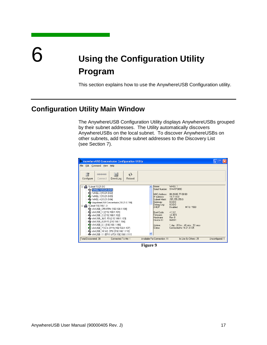# 6 **Using the Configuration Utility Program**

This section explains how to use the AnywhereUSB Configuration utility.

# **Configuration Utility Main Window**

The AnywhereUSB Configuration Utility displays AnywhereUSBs grouped by their subnet addresses. The Utility automatically discovers AnywhereUSBs on the local subnet. To discover AnywhereUSBs on other subnets, add those subnet addresses to the Discovery List (see Section 7).

| AnywhereUSB Concentrator Configuration Utility                                                                                                                                                                                                                                                                                                                                                                                                                                                                                                                 |                                                                                                                                                                                                                                                                                                                                                                                                                              |                 |
|----------------------------------------------------------------------------------------------------------------------------------------------------------------------------------------------------------------------------------------------------------------------------------------------------------------------------------------------------------------------------------------------------------------------------------------------------------------------------------------------------------------------------------------------------------------|------------------------------------------------------------------------------------------------------------------------------------------------------------------------------------------------------------------------------------------------------------------------------------------------------------------------------------------------------------------------------------------------------------------------------|-----------------|
| Edit Command View Help<br>File                                                                                                                                                                                                                                                                                                                                                                                                                                                                                                                                 |                                                                                                                                                                                                                                                                                                                                                                                                                              |                 |
| 窅<br>E<br>$\mathbf{r}$<br>Configure<br>Connect<br>Event Log<br>Reboot                                                                                                                                                                                                                                                                                                                                                                                                                                                                                          |                                                                                                                                                                                                                                                                                                                                                                                                                              |                 |
| - a Subnet 10.21.0.0<br>+ WHQL 1 [10.21.0.61]<br>Ф WHQL 2 [10.21.0.62]<br><b>←</b> WHQL 3 [10.21.0.63]<br>⊕ WHQL 4 [10.21.0.64]<br>AnywhereUSB Concentrator [10.21.0.198]<br>⊕ <mark>∰</mark> Subnet 192.168.1.0<br>4 AWUSB_CPD:RPM [192.168.1.100]<br>€ AWUSB_1 () [192.168.1.101]<br>⊕ AWUSB_2 () [192.168.1.102]<br>← AWUSB_3(V2, FD) [192.168.1.103]<br>4 AWUSB_4 (EP/1) [192.168.1.104]<br><b>←</b> AWUSB_6 ( ) [192.168.1.106]<br>← AWUSB_7 N2 & EP/1) [192.168.1.107]<br>← AWUSB_10 (V2, CPD) [192.168.1.110]<br>< AWUSB 11 (EP/1 & FD) [192.168.1.111] | WHOL 1<br>Name:<br>Serial Number: SV441F0890<br>00-20-BE-7F-08-90<br>MAC Address: .<br>IP Address:<br>10.21.0.61<br>Subnet Mask:<br>255.255.255.0<br>0.0.0.0<br>0.0.0.0<br>Debug Log:<br><b>Disabled</b><br>DHCP:<br>MTU: 1500<br>v1.3.2<br>Boot Code: .<br>v2.30.5<br>Firmware:<br>Rev B<br>Hardware:<br>Device ID: I<br><b>Ox0001</b><br>1 day: 20 hrs: 46 mins: 53 secs<br>Uptime:<br>Connected to 10.21.0.125<br>Status: |                 |
| Total Discovered: 38<br>Connected To Me: 1                                                                                                                                                                                                                                                                                                                                                                                                                                                                                                                     | Available For Connection: 11<br>In Use By Others: 25                                                                                                                                                                                                                                                                                                                                                                         | Unconfigured: 1 |

**Figure 9**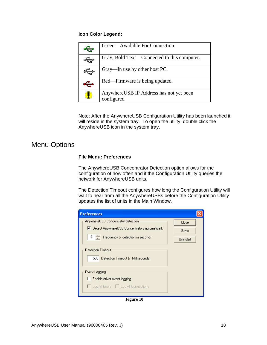#### **Icon Color Legend:**

| Green-Available For Connection                        |
|-------------------------------------------------------|
| Gray, Bold Text-Connected to this computer.           |
| Gray—In use by other host PC.                         |
| Red-Firmware is being updated.                        |
| AnywhereUSB IP Address has not yet been<br>configured |

Note: After the AnywhereUSB Configuration Utility has been launched it will reside in the system tray. To open the utility, double click the AnywhereUSB icon in the system tray.

# Menu Options

#### **File Menu: Preferences**

The AnywhereUSB Concentrator Detection option allows for the configuration of how often and if the Configuration Utility queries the network for AnywhereUSB units.

The Detection Timeout configures how long the Configuration Utility will wait to hear from all the AnywhereUSBs before the Configuration Utility updates the list of units in the Main Window.

| <b>Preferences</b>                                                                                                               |                            |
|----------------------------------------------------------------------------------------------------------------------------------|----------------------------|
| AnywhereUSB Concentrator detection<br>Detect AnywhereUSB Concentrators automatically<br>5 引<br>Frequency of detection in seconds | Close<br>Save<br>Uninstall |
| Detection Timeout<br>500 Detection Timeout (in Milliseconds)                                                                     |                            |
| Event Logging<br>Enable driver event logging<br>$\Box$ Log All Errors $\Box$ Log All Connections                                 |                            |

**Figure 10**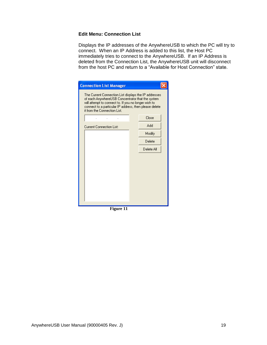### **Edit Menu: Connection List**

Displays the IP addresses of the AnywhereUSB to which the PC will try to connect. When an IP Address is added to this list, the Host PC immediately tries to connect to the AnywhereUSB. If an IP Address is deleted from the Connection List, the AnywhereUSB unit will disconnect from the host PC and return to a "Available for Host Connection" state.

| <b>Connection List Manager</b>                                                                                                                                                                                                                              |            |  |
|-------------------------------------------------------------------------------------------------------------------------------------------------------------------------------------------------------------------------------------------------------------|------------|--|
| The Current Connection List displays the IP addresses<br>of each AnywhereUSB Concentrator that the system<br>will attempt to connect to. If you no longer wish to<br>connect to a particular IP address, then please delete<br>it from the Connection List. |            |  |
|                                                                                                                                                                                                                                                             | Close      |  |
| Current Connection List:                                                                                                                                                                                                                                    | Add        |  |
|                                                                                                                                                                                                                                                             | Modify     |  |
|                                                                                                                                                                                                                                                             | Delete     |  |
|                                                                                                                                                                                                                                                             | Delete All |  |
|                                                                                                                                                                                                                                                             |            |  |
|                                                                                                                                                                                                                                                             |            |  |
|                                                                                                                                                                                                                                                             |            |  |
|                                                                                                                                                                                                                                                             |            |  |
|                                                                                                                                                                                                                                                             |            |  |
|                                                                                                                                                                                                                                                             |            |  |
|                                                                                                                                                                                                                                                             |            |  |
| Figure 11                                                                                                                                                                                                                                                   |            |  |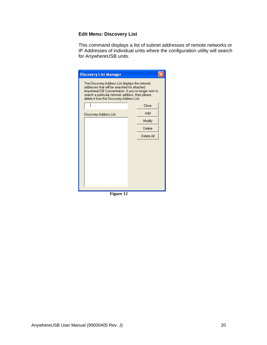### **Edit Menu: Discovery List**

This command displays a list of subnet addresses of remote networks or IP Addresses of individual units where the configuration utility will search for AnywhereUSB units.

| <b>Discovery List Manager</b>                                                                                                                                                                                                                             |            |  |  |  |  |  |
|-----------------------------------------------------------------------------------------------------------------------------------------------------------------------------------------------------------------------------------------------------------|------------|--|--|--|--|--|
| The Discovery Address List displays the network.<br>addresses that will be searched for attached<br>AnywhereUSB Concentrators. If you no longer wish to<br>search a particular network address, then please<br>delete it from the Discovery Address List. |            |  |  |  |  |  |
|                                                                                                                                                                                                                                                           | Close      |  |  |  |  |  |
| Discovery Address List:                                                                                                                                                                                                                                   | Add        |  |  |  |  |  |
|                                                                                                                                                                                                                                                           | Modify     |  |  |  |  |  |
|                                                                                                                                                                                                                                                           | Delete     |  |  |  |  |  |
|                                                                                                                                                                                                                                                           | Delete All |  |  |  |  |  |
|                                                                                                                                                                                                                                                           |            |  |  |  |  |  |
|                                                                                                                                                                                                                                                           |            |  |  |  |  |  |
|                                                                                                                                                                                                                                                           |            |  |  |  |  |  |
|                                                                                                                                                                                                                                                           |            |  |  |  |  |  |
|                                                                                                                                                                                                                                                           |            |  |  |  |  |  |
|                                                                                                                                                                                                                                                           |            |  |  |  |  |  |
|                                                                                                                                                                                                                                                           |            |  |  |  |  |  |
| Figure 12                                                                                                                                                                                                                                                 |            |  |  |  |  |  |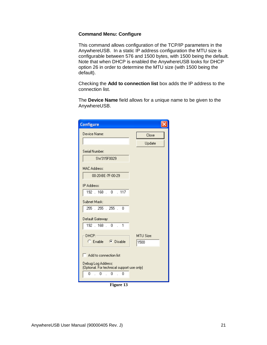#### **Command Menu: Configure**

This command allows configuration of the TCP/IP parameters in the AnywhereUSB. In a static IP address configuration the MTU size is configurable between 576 and 1500 bytes, with 1500 being the default. Note that when DHCP is enabled the AnywhereUSB looks for DHCP option 26 in order to determine the MTU size (with 1500 being the default).

Checking the **Add to connection list** box adds the IP address to the connection list.

The **Device Name** field allows for a unique name to be given to the AnywhereUSB.

| <b>Configure</b>                                                          |                  |
|---------------------------------------------------------------------------|------------------|
| Device Name:                                                              | Close            |
|                                                                           | Update           |
| Serial Number:                                                            |                  |
| SW315F0029                                                                |                  |
| <b>MAC Address:</b>                                                       |                  |
| 00-20-BE-7F-00-29                                                         |                  |
| IP Address:                                                               |                  |
| 192 . 168 . 0 . 117                                                       |                  |
| Subnet Mask:                                                              |                  |
| 255 . 255 . 255 . 0                                                       |                  |
| Default Gateway:                                                          |                  |
| $192$ . $168$ . 0 .<br>$\mathbf{1}$                                       |                  |
| DHCP: -                                                                   | <b>MTU Size:</b> |
| C Enable <sup>C</sup> Disable                                             | 1500             |
| $^-$ Add to connection list                                               |                  |
| Debug Log Address:                                                        |                  |
| (Optional. For technical support use only)<br>0.0.0<br>$\blacksquare$ . 0 |                  |
|                                                                           |                  |

**Figure 13**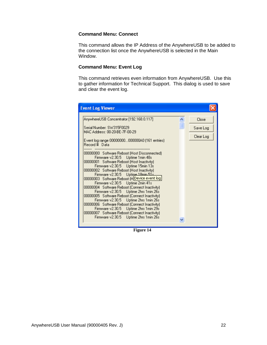### **Command Menu: Connect**

This command allows the IP Address of the AnywhereUSB to be added to the connection list once the AnywhereUSB is selected in the Main Window.

#### **Command Menu: Event Log**

This command retrieves even information from AnywhereUSB. Use this to gather information for Technical Support. This dialog is used to save and clear the event log.

| <b>Event Log Viewer</b>                                                                                                                                                                                                                                                                                                                                                                                                                                                                                                                                                                                                                                                                                                                                                                                                                                                                                                                |
|----------------------------------------------------------------------------------------------------------------------------------------------------------------------------------------------------------------------------------------------------------------------------------------------------------------------------------------------------------------------------------------------------------------------------------------------------------------------------------------------------------------------------------------------------------------------------------------------------------------------------------------------------------------------------------------------------------------------------------------------------------------------------------------------------------------------------------------------------------------------------------------------------------------------------------------|
| AnywhereUSB Concentrator [192.168.0.117]<br>Close<br>Serial Number: SW315F0029<br>Save Log<br>MAC Address: 00-20-BE-7F-00-29<br>Clear Log<br>Event log range 00000000000000A0 (161 entries)<br>Record # Data<br>00000000 Software Reboot (Host Disconnected)<br>Firmware v2.30.5 Uptime 1 min 48s<br>00000001 Software Reboot (Host Inactivity)<br>Firmware v2.30.5 Uptime 15min 13s<br>00000002 Software Reboot (Host Inactivity)<br>Firmware v2.30.5 Uptime 18min 51s<br>00000003 Software Reboot (HDevice event log<br>Firmware v2.30.5 Uptime 2min 41s<br>00000004 Software Reboot (Connect Inactivity)<br>Firmware v2.30.5 Uptime 2hrs 1 min 26s<br>00000005 Software Reboot (Connect Inactivity)<br>Firmware v2.30.5 Uptime 2hrs 1 min 26s<br>00000006 Software Reboot (Connect Inactivity)<br>Firmware v2.30.5 Uptime 2hrs 1 min 29s<br>00000007 Software Reboot (Connect Inactivity)<br>Firmware v2.30.5 Uptime 2hrs 1 min 26s |

**Figure 14**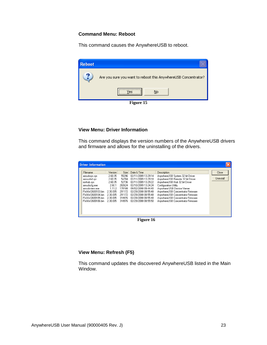#### **Command Menu: Reboot**

This command causes the AnywhereUSB to reboot.



#### **View Menu: Driver Information**

This command displays the version numbers of the AnywhereUSB drivers and firmware and allows for the uninstalling of the drivers.

| Filename        | Version  | Size   | Date & Time         | Description                       | Close     |
|-----------------|----------|--------|---------------------|-----------------------------------|-----------|
| awusbsus.sus    | 2.60.35  | 55296  | 02/11/2009 13:29:14 | AnvwhereUSB System 32 bit Driver  |           |
| awvusbd.sys     | 2.60.35  | 54784  | 02/11/2009 13:29:18 | AnywhereUSB Remote 32 bit Driver  | Uninstall |
| ionhub.sys      | 2.60.35  | 52736  | 02/11/2009 13:29:22 | AnywhereUSB Hub 32 bit Driver     |           |
| awusbcfg.exe    | 2.60.1   | 282624 | 02/10/2009 13:24:24 | Configuration Utility             |           |
| awusbview.exe   | 1.11.2   | 170188 | 09/02/2008 09:44:40 | Anvwhere USB Device Viewer        |           |
| FWAW2600103.bin | 2.30.005 | 291172 | 02/29/2008 08:55:48 | AnywhereUSB Concentrator Firmware |           |
| FWAW2600104.bin | 2.30.005 | 291172 | 02/29/2008 08:55:48 | AnywhereUSB Concentrator Firmware |           |
| FWAW2600105.bin | 2.30.005 | 318976 | 02/29/2008 08:55:48 | AnvwhereUSB Concentrator Firmware |           |
| FWAW2600106.bin | 2.30.005 | 318976 | 02/29/2008 08:55:50 | AnvwhereUSB Concentrator Firmware |           |



#### **View Menu: Refresh (F5)**

This command updates the discovered AnywhereUSB listed in the Main Window.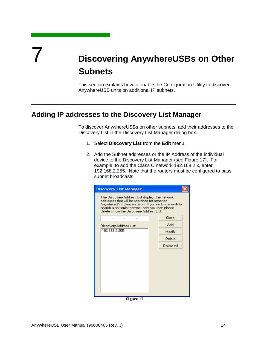# 7 **Discovering AnywhereUSBs on Other Subnets**

This section explains how to enable the Configuration Utility to discover AnywhereUSB units on additional IP subnets.

## **Adding IP addresses to the Discovery List Manager**

To discover AnywhereUSBs on other subnets, add their addresses to the Discovery List in the Discovery List Manager dialog box.

- 1. Select **Discovery List** from the **Edit** menu.
- 2. Add the Subnet addresses or the IP Address of the individual device to the Discovery List Manager (see Figure 17). For example, to add the Class C network 192.168.2.x, enter 192.168.2.255. Note that the routers must be configured to pass subnet broadcasts.

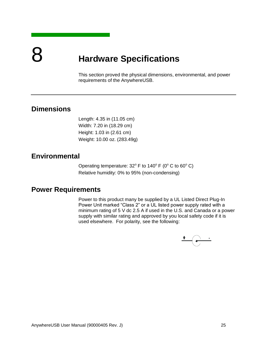# 8 **Hardware Specifications**

This section proved the physical dimensions, environmental, and power requirements of the AnywhereUSB.

# **Dimensions**

Length: 4.35 in (11.05 cm) Width: 7.20 in (18.29 cm) Height: 1.03 in (2.61 cm) Weight: 10.00 oz. (283.49g)

## **Environmental**

Operating temperature:  $32^{\circ}$  F to  $140^{\circ}$  F (0° C to 60° C) Relative humidity: 0% to 95% (non-condensing)

### **Power Requirements**

Power to this product many be supplied by a UL Listed Direct Plug-In Power Unit marked "Class 2" or a UL listed power supply rated with a minimum rating of 5 V dc 2.5 A if used in the U.S. and Canada or a power supply with similar rating and approved by you local safety code if it is used elsewhere. For polarity, see the following:

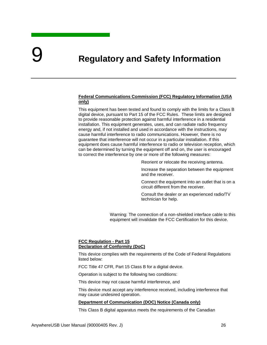# 9 **Regulatory and Safety Information**

#### **Federal Communications Commission (FCC) Regulatory Information (USA only)**

This equipment has been tested and found to comply with the limits for a Class B digital device, pursuant to Part 15 of the FCC Rules. These limits are designed to provide reasonable protection against harmful interference in a residential installation. This equipment generates, uses, and can radiate radio frequency energy and, if not installed and used in accordance with the instructions, may cause harmful interference to radio communications. However, there is no guarantee that interference will not occur in a particular installation. If this equipment does cause harmful interference to radio or television reception, which can be determined by turning the equipment off and on, the user is encouraged to correct the interference by one or more of the following measures:

Reorient or relocate the receiving antenna.

Increase the separation between the equipment and the receiver.

Connect the equipment into an outlet that is on a circuit different from the receiver.

Consult the dealer or an experienced radio/TV technician for help.

Warning: The connection of a non-shielded interface cable to this equipment will invalidate the FCC Certification for this device.

#### **FCC Regulation - Part 15 Declaration of Conformity (DoC)**

This device complies with the requirements of the Code of Federal Regulations listed below:

FCC Title 47 CFR, Part 15 Class B for a digital device.

Operation is subject to the following two conditions:

This device may not cause harmful interference, and

This device must accept any interference received, including interference that may cause undesired operation.

#### **Department of Communication (DOC) Notice (Canada only)**

This Class B digital apparatus meets the requirements of the Canadian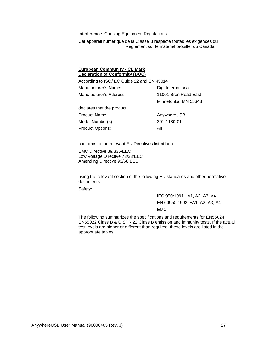Interference- Causing Equipment Regulations.

Cet appareil numérique de la Classe B respecte toutes les exigences du Règlement sur le matériel brouiller du Canada.

#### **European Community - CE Mark Declaration of Conformity (DOC)**

According to ISO/IEC Guide 22 and EN 45014

| Digi International   |
|----------------------|
| 11001 Bren Road East |
| Minnetonka, MN 55343 |
|                      |
| AnywhereUSB          |
| 301-1130-01          |
| All                  |
|                      |

conforms to the relevant EU Directives listed here:

EMC Directive 89/336/EEC | Low Voltage Directive 73/23/EEC Amending Directive 93/68 EEC

using the relevant section of the following EU standards and other normative documents:

Safety:

IEC 950:1991 +A1, A2, A3, A4 EN 60950:1992: +A1, A2, A3, A4 EMC

The following summarizes the specifications and requirements for EN55024, EN55022 Class B & CISPR 22 Class B emission and immunity tests. If the actual test levels are higher or different than required, these levels are listed in the appropriate tables.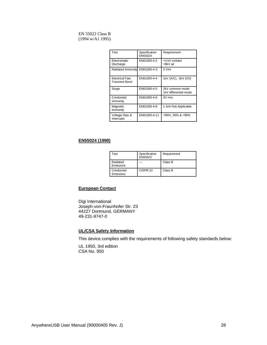EN 55022 Class B (1994 w/A1 1995)

| Test                                             | Specification<br>EN55024 | Requirement                              |
|--------------------------------------------------|--------------------------|------------------------------------------|
| Electrostatic<br>Discharge                       | EN61000-4-2              | +4 kV contact<br>+8kV air                |
| Radiated Immunity                                | EN61000-4-3              | $3$ V/m                                  |
| <b>Electrical Fast</b><br><b>Transient Burst</b> | EN61000-4-4              | 1kV (A/C), .5kV (I/O)                    |
| Surge                                            | EN61000-4-5              | 2kV common mode<br>1kV differential mode |
| Conducted<br>Immunity                            | EN61000-4-6              | 3V rms                                   |
| Magnetic<br>Immunity                             | EN61000-4-8              | 1 A/m Not Applicable                     |
| Voltage Dips &<br>Interrupts                     | EN61000-4-11             | $>95\%$ , 30% & $>95\%$                  |

#### **EN55024 (1998)**

| Test                   | Specification<br>EN55022 | Requirement |
|------------------------|--------------------------|-------------|
| Radiated<br>Emissions  |                          | Class B     |
| Conducted<br>Emissions | CISPR <sub>22</sub>      | Class B     |

#### **European Contact**

Digi International Joseph-von-Fraunhofer Str. 23 44227 Dortmund, GERMANY 49-231-9747-0

### **UL/CSA Safety Information**

This device complies with the requirements of following safety standards below:

UL 1950, 3rd edition CSA No. 950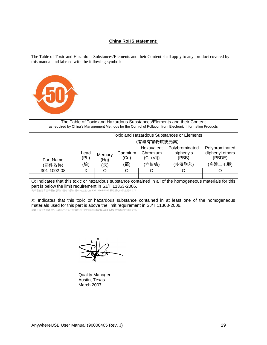#### **China RoHS statement:**

The Table of Toxic and Hazardous Substances/Elements and their Content shall apply to any product covered by this manual and labeled with the following symbol:



| The Table of Toxic and Hazardous Substances/Elements and their Content<br>as required by China's Management Methods for the Control of Pollution from Electronic Information Products                                   |                                            |                 |                 |                                     |                                      |                                             |
|-------------------------------------------------------------------------------------------------------------------------------------------------------------------------------------------------------------------------|--------------------------------------------|-----------------|-----------------|-------------------------------------|--------------------------------------|---------------------------------------------|
|                                                                                                                                                                                                                         | Toxic and Hazardous Substances or Elements |                 |                 |                                     |                                      |                                             |
|                                                                                                                                                                                                                         |                                            |                 |                 | (有毒有害物质或元素)                         |                                      |                                             |
| Part Name                                                                                                                                                                                                               | Lead<br>(Pb)                               | Mercury<br>(Hg) | Cadmium<br>(Cd) | Hexavalent<br>Chromium<br>(Cr (VI)) | Polybrominated<br>biphenyls<br>(PBB) | Polybrominated<br>diphenyl ethers<br>(PBDE) |
| (部件名称)                                                                                                                                                                                                                  | (铅)                                        | (汞)             | (镉)             | (六价铬)                               | (多溴联苯)                               | (多溴二苯醚)                                     |
| 301-1002-08                                                                                                                                                                                                             | х                                          | Ω               | O)              | O                                   | ()                                   | ()                                          |
|                                                                                                                                                                                                                         |                                            |                 |                 |                                     |                                      |                                             |
| O: Indicates that this toxic or hazardous substance contained in all of the homogeneous materials for this<br>part is below the limit requirement in SJ/T 11363-2006.<br>害物质在该部件所有均质材料中的含量均在SJ/T11363-2006 标准规定的限量要求以下. |                                            |                 |                 |                                     |                                      |                                             |
| X: Indicates that this toxic or hazardous substance contained in at least one of the homogeneous<br>materials used for this part is above the limit requirement in SJ/T 11363-2006.                                     |                                            |                 |                 |                                     |                                      |                                             |

示该有毒有害物质至少在该部件的某一均质材料中的含量超出SJ/T11363-2006 标准规定的限量要求.

Quality Manager Austin, Texas March 2007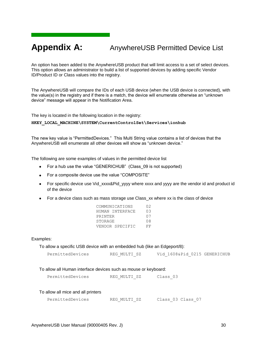

# **Appendix A:** AnywhereUSB Permitted Device List

An option has been added to the AnywhereUSB product that will limit access to a set of select devices. This option allows an administrator to build a list of supported devices by adding specific Vendor ID/Product ID or Class values into the registry.

The AnywhereUSB will compare the IDs of each USB device (when the USB device is connected), with the value(s) in the registry and if there is a match, the device will enumerate otherwise an "unknown" device" message will appear in the Notification Area.

The key is located in the following location in the registry:

**HKEY\_LOCAL\_MACHINE\SYSTEM\CurrentControlSet\Services\ionhub**

The new key value is "PermittedDevices." This Multi String value contains a list of devices that the AnywhereUSB will enumerate all other devices will show as "unknown device."

The following are some examples of values in the permitted device list

- For a hub use the value "GENERICHUB" (Class\_09 is not supported)
- For a composite device use the value "COMPOSITE"
- For specific device use Vid\_xxxx&Pid\_yyyy where xxxx and yyyy are the vendor id and product id of the device
- For a device class such as mass storage use Class\_xx where xx is the class of device

|         | COMMUNICATIONS  | 02 |
|---------|-----------------|----|
|         | HUMAN INTERFACE | 03 |
| PRINTER |                 | 07 |
| STORAGE |                 | 08 |
|         | VENDOR SPECIFIC | FF |

Examples:

#### To allow a specific USB device with an embedded hub (like an Edgeport/8):

| PermittedDevices | REG MULTI SZ | Vid 1608&Pid 0215 GENERICHUB |  |
|------------------|--------------|------------------------------|--|
|                  |              |                              |  |

#### To allow all Human interface devices such as mouse or keyboard:

| PermittedDevices | REG MULTI SZ | Class 03 |
|------------------|--------------|----------|
|                  |              |          |

#### To allow all mice and all printers

| PermittedDevices | REG MULTI SZ | Class 03 Class 07 |  |
|------------------|--------------|-------------------|--|
|                  |              |                   |  |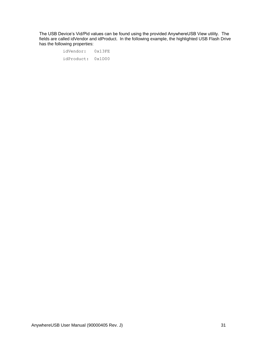The USB Device's Vid/Pid values can be found using the provided AnywhereUSB View utility. The fields are called idVendor and idProduct. In the following example, the highlighted USB Flash Drive has the following properties:

> idVendor: 0x13FE idProduct: 0x1D00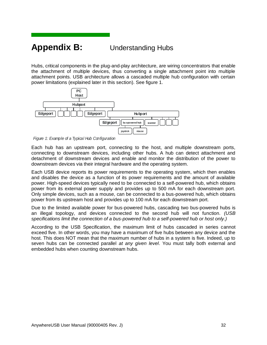

Hubs, critical components in the plug-and-play architecture, are wiring concentrators that enable the attachment of multiple devices, thus converting a single attachment point into multiple attachment points. USB architecture allows a cascaded multiple hub configuration with certain power limitations (explained later in this section). See figure 1.



*Figure 1: Example of a Typical Hub Configuration*

Each hub has an upstream port, connecting to the host, and multiple downstream ports, connecting to downstream devices, including other hubs. A hub can detect attachment and detachment of downstream devices and enable and monitor the distribution of the power to downstream devices via their integral hardware and the operating system.

Each USB device reports its power requirements to the operating system, which then enables and disables the device as a function of its power requirements and the amount of available power. High-speed devices typically need to be connected to a self-powered hub, which obtains power from its external power supply and provides up to 500 mA for each downstream port. Only simple devices, such as a mouse, can be connected to a bus-powered hub, which obtains power from its upstream host and provides up to 100 mA for each downstream port.

Due to the limited available power for bus-powered hubs, cascading two bus-powered hubs is an illegal topology, and devices connected to the second hub will not function. *(USB specifications limit the connection of a bus-powered hub to a self-powered hub or host only.)* 

According to the USB Specification, the maximum limit of hubs cascaded in series cannot exceed five. In other words, you may have a maximum of five hubs between any device and the host. This does NOT mean that the maximum number of hubs in a system is five. Indeed, up to seven hubs can be connected parallel *at any given level*. You must tally both external and embedded hubs when counting downstream hubs.